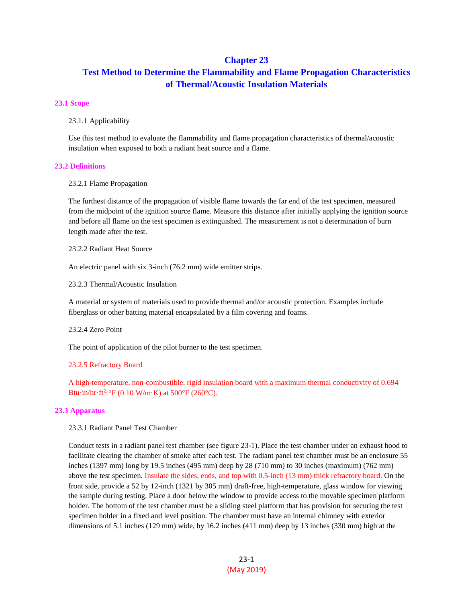## **Chapter 23**

# **Test Method to Determine the Flammability and Flame Propagation Characteristics of Thermal/Acoustic Insulation Materials**

### **23.1 Scope**

23.1.1 Applicability

Use this test method to evaluate the flammability and flame propagation characteristics of thermal/acoustic insulation when exposed to both a radiant heat source and a flame.

#### **23.2 Definitions**

### 23.2.1 Flame Propagation

The furthest distance of the propagation of visible flame towards the far end of the test specimen, measured from the midpoint of the ignition source flame. Measure this distance after initially applying the ignition source and before all flame on the test specimen is extinguished. The measurement is not a determination of burn length made after the test.

23.2.2 Radiant Heat Source

An electric panel with six 3-inch (76.2 mm) wide emitter strips.

23.2.3 Thermal/Acoustic Insulation

A material or system of materials used to provide thermal and/or acoustic protection. Examples include fiberglass or other batting material encapsulated by a film covering and foams.

23.2.4 Zero Point

The point of application of the pilot burner to the test specimen.

#### 23.2.5 Refractory Board

A high-temperature, non-combustible, rigid insulation board with a maximum thermal conductivity of 0.694 Btu·in/hr·ft<sup>2</sup>·°F (0.10 W/m·K) at 500°F (260°C).

## **23.3 Apparatus**

23.3.1 Radiant Panel Test Chamber

Conduct tests in a radiant panel test chamber (see figure 23-1). Place the test chamber under an exhaust hood to facilitate clearing the chamber of smoke after each test. The radiant panel test chamber must be an enclosure 55 inches (1397 mm) long by 19.5 inches (495 mm) deep by 28 (710 mm) to 30 inches (maximum) (762 mm) above the test specimen. Insulate the sides, ends, and top with 0.5-inch (13 mm) thick refractory board. On the front side, provide a 52 by 12-inch (1321 by 305 mm) draft-free, high-temperature, glass window for viewing the sample during testing. Place a door below the window to provide access to the movable specimen platform holder. The bottom of the test chamber must be a sliding steel platform that has provision for securing the test specimen holder in a fixed and level position. The chamber must have an internal chimney with exterior dimensions of 5.1 inches (129 mm) wide, by 16.2 inches (411 mm) deep by 13 inches (330 mm) high at the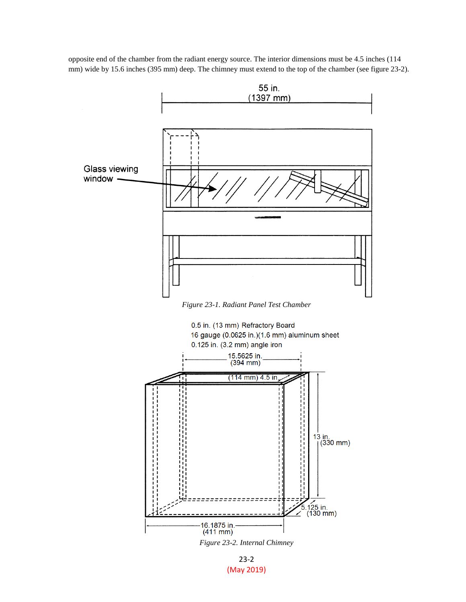opposite end of the chamber from the radiant energy source. The interior dimensions must be 4.5 inches (114 mm) wide by 15.6 inches (395 mm) deep. The chimney must extend to the top of the chamber (see figure 23-2).



*Figure 23-1. Radiant Panel Test Chamber*



*Figure 23-2. Internal Chimney*

23-2 (May 2019)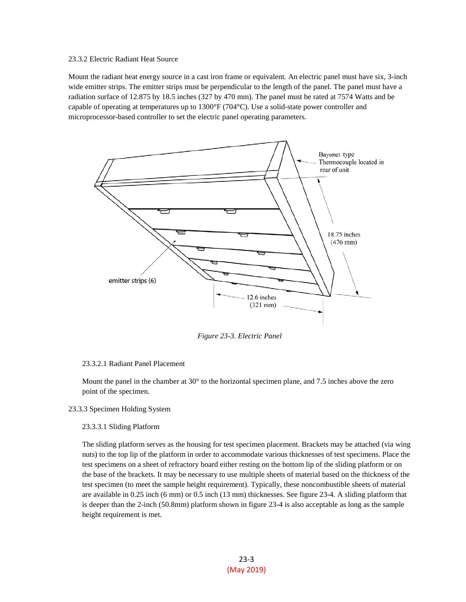## 23.3.2 Electric Radiant Heat Source

Mount the radiant heat energy source in a cast iron frame or equivalent. An electric panel must have six, 3-inch wide emitter strips. The emitter strips must be perpendicular to the length of the panel. The panel must have a radiation surface of 12.875 by 18.5 inches (327 by 470 mm). The panel must be rated at 7574 Watts and be capable of operating at temperatures up to 1300°F (704°C). Use a solid-state power controller and microprocessor-based controller to set the electric panel operating parameters.



*Figure 23-3. Electric Panel*

## 23.3.2.1 Radiant Panel Placement

Mount the panel in the chamber at 30<sup>°</sup> to the horizontal specimen plane, and 7.5 inches above the zero point of the specimen.

### 23.3.3 Specimen Holding System

#### 23.3.3.1 Sliding Platform

The sliding platform serves as the housing for test specimen placement. Brackets may be attached (via wing nuts) to the top lip of the platform in order to accommodate various thicknesses of test specimens. Place the test specimens on a sheet of refractory board either resting on the bottom lip of the sliding platform or on the base of the brackets. It may be necessary to use multiple sheets of material based on the thickness of the test specimen (to meet the sample height requirement). Typically, these noncombustible sheets of material are available in 0.25 inch (6 mm) or 0.5 inch (13 mm) thicknesses. See figure 23-4. A sliding platform that is deeper than the 2-inch (50.8mm) platform shown in figure 23-4 is also acceptable as long as the sample height requirement is met.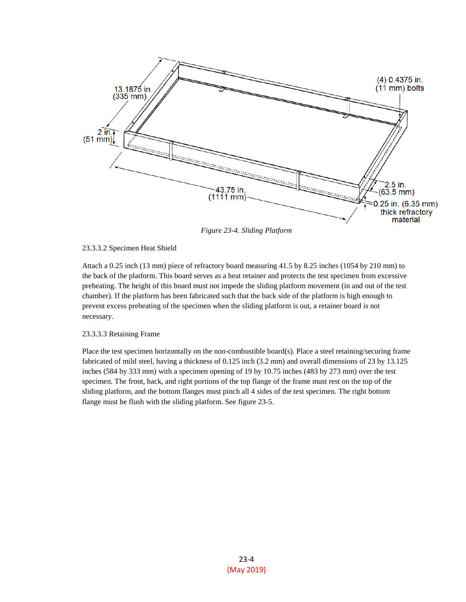

*Figure 23-4. Sliding Platform*

## 23.3.3.2 Specimen Heat Shield

Attach a 0.25 inch (13 mm) piece of refractory board measuring 41.5 by 8.25 inches (1054 by 210 mm) to the back of the platform. This board serves as a heat retainer and protects the test specimen from excessive preheating. The height of this board must not impede the sliding platform movement (in and out of the test chamber). If the platform has been fabricated such that the back side of the platform is high enough to prevent excess preheating of the specimen when the sliding platform is out, a retainer board is not necessary.

## 23.3.3.3 Retaining Frame

Place the test specimen horizontally on the non-combustible board(s). Place a steel retaining/securing frame fabricated of mild steel, having a thickness of 0.125 inch (3.2 mm) and overall dimensions of 23 by 13.125 inches (584 by 333 mm) with a specimen opening of 19 by 10.75 inches (483 by 273 mm) over the test specimen. The front, back, and right portions of the top flange of the frame must rest on the top of the sliding platform, and the bottom flanges must pinch all 4 sides of the test specimen. The right bottom flange must be flush with the sliding platform. See figure 23-5.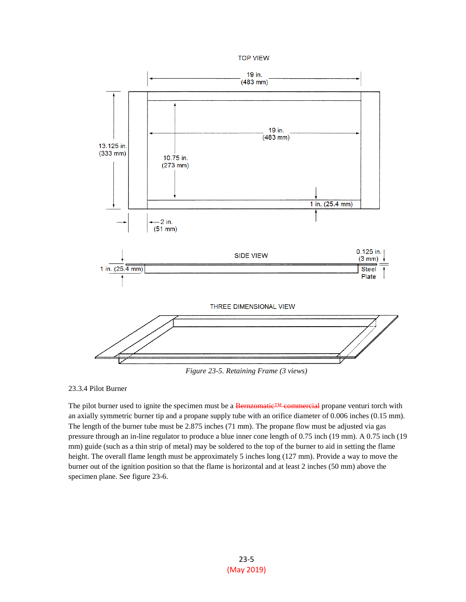



*Figure 23-5. Retaining Frame (3 views)*

23.3.4 Pilot Burner

The pilot burner used to ignite the specimen must be a Bernzomatic<sup>™</sup> commercial propane venturi torch with an axially symmetric burner tip and a propane supply tube with an orifice diameter of 0.006 inches (0.15 mm). The length of the burner tube must be 2.875 inches (71 mm). The propane flow must be adjusted via gas pressure through an in-line regulator to produce a blue inner cone length of 0.75 inch (19 mm). A 0.75 inch (19 mm) guide (such as a thin strip of metal) may be soldered to the top of the burner to aid in setting the flame height. The overall flame length must be approximately 5 inches long (127 mm). Provide a way to move the burner out of the ignition position so that the flame is horizontal and at least 2 inches (50 mm) above the specimen plane. See figure 23-6.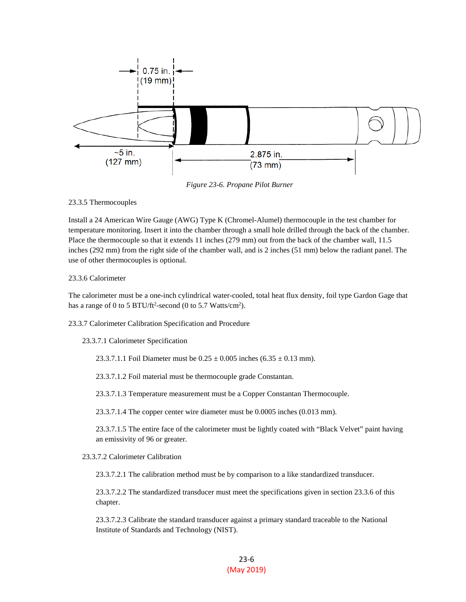

*Figure 23-6. Propane Pilot Burner*

## 23.3.5 Thermocouples

Install a 24 American Wire Gauge (AWG) Type K (Chromel-Alumel) thermocouple in the test chamber for temperature monitoring. Insert it into the chamber through a small hole drilled through the back of the chamber. Place the thermocouple so that it extends 11 inches (279 mm) out from the back of the chamber wall, 11.5 inches (292 mm) from the right side of the chamber wall, and is 2 inches (51 mm) below the radiant panel. The use of other thermocouples is optional.

## 23.3.6 Calorimeter

The calorimeter must be a one-inch cylindrical water-cooled, total heat flux density, foil type Gardon Gage that has a range of 0 to 5 BTU/ft<sup>2</sup>-second (0 to 5.7 Watts/cm<sup>2</sup>).

23.3.7 Calorimeter Calibration Specification and Procedure

23.3.7.1 Calorimeter Specification

23.3.7.1.1 Foil Diameter must be  $0.25 \pm 0.005$  inches  $(6.35 \pm 0.13$  mm).

23.3.7.1.2 Foil material must be thermocouple grade Constantan.

23.3.7.1.3 Temperature measurement must be a Copper Constantan Thermocouple.

23.3.7.1.4 The copper center wire diameter must be 0.0005 inches (0.013 mm).

23.3.7.1.5 The entire face of the calorimeter must be lightly coated with "Black Velvet" paint having an emissivity of 96 or greater.

23.3.7.2 Calorimeter Calibration

23.3.7.2.1 The calibration method must be by comparison to a like standardized transducer.

23.3.7.2.2 The standardized transducer must meet the specifications given in section 23.3.6 of this chapter.

23.3.7.2.3 Calibrate the standard transducer against a primary standard traceable to the National Institute of Standards and Technology (NIST).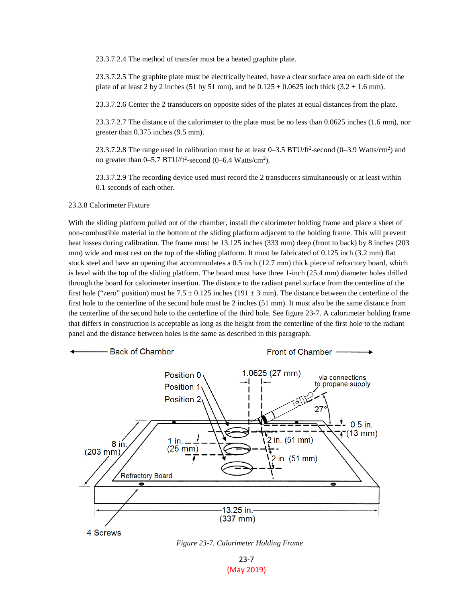23.3.7.2.4 The method of transfer must be a heated graphite plate.

23.3.7.2.5 The graphite plate must be electrically heated, have a clear surface area on each side of the plate of at least 2 by 2 inches (51 by 51 mm), and be  $0.125 \pm 0.0625$  inch thick (3.2  $\pm$  1.6 mm).

23.3.7.2.6 Center the 2 transducers on opposite sides of the plates at equal distances from the plate.

23.3.7.2.7 The distance of the calorimeter to the plate must be no less than 0.0625 inches (1.6 mm), nor greater than 0.375 inches (9.5 mm).

23.3.7.2.8 The range used in calibration must be at least  $0-3.5$  BTU/ft<sup>2</sup>-second  $(0-3.9$  Watts/cm<sup>2</sup>) and no greater than  $0-5.7$  BTU/ft<sup>2</sup>-second  $(0-6.4$  Watts/cm<sup>2</sup>).

23.3.7.2.9 The recording device used must record the 2 transducers simultaneously or at least within 0.1 seconds of each other.

## 23.3.8 Calorimeter Fixture

With the sliding platform pulled out of the chamber, install the calorimeter holding frame and place a sheet of non-combustible material in the bottom of the sliding platform adjacent to the holding frame. This will prevent heat losses during calibration. The frame must be 13.125 inches (333 mm) deep (front to back) by 8 inches (203 mm) wide and must rest on the top of the sliding platform. It must be fabricated of 0.125 inch (3.2 mm) flat stock steel and have an opening that accommodates a 0.5 inch (12.7 mm) thick piece of refractory board, which is level with the top of the sliding platform. The board must have three 1-inch (25.4 mm) diameter holes drilled through the board for calorimeter insertion. The distance to the radiant panel surface from the centerline of the first hole ("zero" position) must be 7.5  $\pm$  0.125 inches (191  $\pm$  3 mm). The distance between the centerline of the first hole to the centerline of the second hole must be 2 inches (51 mm). It must also be the same distance from the centerline of the second hole to the centerline of the third hole. See figure 23-7. A calorimeter holding frame that differs in construction is acceptable as long as the height from the centerline of the first hole to the radiant panel and the distance between holes is the same as described in this paragraph.



*Figure 23-7. Calorimeter Holding Frame*

23-7 (May 2019)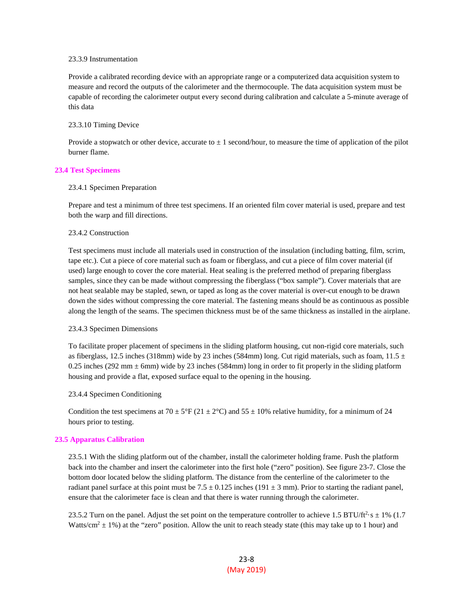## 23.3.9 Instrumentation

Provide a calibrated recording device with an appropriate range or a computerized data acquisition system to measure and record the outputs of the calorimeter and the thermocouple. The data acquisition system must be capable of recording the calorimeter output every second during calibration and calculate a 5-minute average of this data

## 23.3.10 Timing Device

Provide a stopwatch or other device, accurate to  $\pm 1$  second/hour, to measure the time of application of the pilot burner flame.

## **23.4 Test Specimens**

#### 23.4.1 Specimen Preparation

Prepare and test a minimum of three test specimens. If an oriented film cover material is used, prepare and test both the warp and fill directions.

#### 23.4.2 Construction

Test specimens must include all materials used in construction of the insulation (including batting, film, scrim, tape etc.). Cut a piece of core material such as foam or fiberglass, and cut a piece of film cover material (if used) large enough to cover the core material. Heat sealing is the preferred method of preparing fiberglass samples, since they can be made without compressing the fiberglass ("box sample"). Cover materials that are not heat sealable may be stapled, sewn, or taped as long as the cover material is over-cut enough to be drawn down the sides without compressing the core material. The fastening means should be as continuous as possible along the length of the seams. The specimen thickness must be of the same thickness as installed in the airplane.

## 23.4.3 Specimen Dimensions

To facilitate proper placement of specimens in the sliding platform housing, cut non-rigid core materials, such as fiberglass, 12.5 inches (318mm) wide by 23 inches (584mm) long. Cut rigid materials, such as foam,  $11.5 \pm$ 0.25 inches (292 mm  $\pm$  6mm) wide by 23 inches (584mm) long in order to fit properly in the sliding platform housing and provide a flat, exposed surface equal to the opening in the housing.

## 23.4.4 Specimen Conditioning

Condition the test specimens at 70  $\pm$  5°F (21  $\pm$  2°C) and 55  $\pm$  10% relative humidity, for a minimum of 24 hours prior to testing.

## **23.5 Apparatus Calibration**

23.5.1 With the sliding platform out of the chamber, install the calorimeter holding frame. Push the platform back into the chamber and insert the calorimeter into the first hole ("zero" position). See figure 23-7. Close the bottom door located below the sliding platform. The distance from the centerline of the calorimeter to the radiant panel surface at this point must be  $7.5 \pm 0.125$  inches (191  $\pm$  3 mm). Prior to starting the radiant panel, ensure that the calorimeter face is clean and that there is water running through the calorimeter.

23.5.2 Turn on the panel. Adjust the set point on the temperature controller to achieve 1.5 BTU/ft<sup>2</sup> $\cdot$ s  $\pm$  1% (1.7) Watts/cm<sup>2</sup>  $\pm$  1%) at the "zero" position. Allow the unit to reach steady state (this may take up to 1 hour) and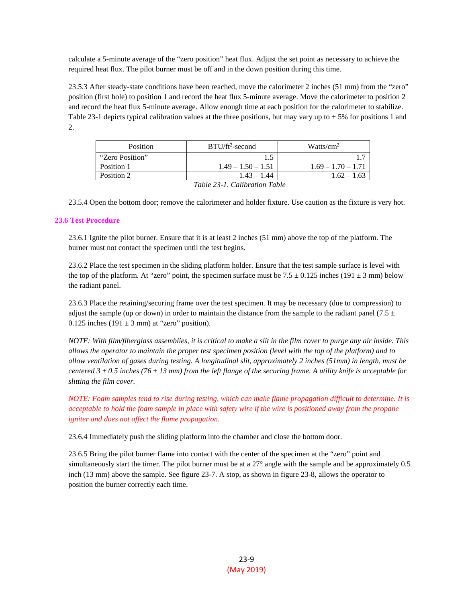calculate a 5-minute average of the "zero position" heat flux. Adjust the set point as necessary to achieve the required heat flux. The pilot burner must be off and in the down position during this time.

23.5.3 After steady-state conditions have been reached, move the calorimeter 2 inches (51 mm) from the "zero" position (first hole) to position 1 and record the heat flux 5-minute average. Move the calorimeter to position 2 and record the heat flux 5-minute average. Allow enough time at each position for the calorimeter to stabilize. Table 23-1 depicts typical calibration values at the three positions, but may vary up to  $\pm$  5% for positions 1 and 2.

| <b>Position</b>                        | $BTU/ft2$ -second    | Watts/cm <sup>2</sup> |
|----------------------------------------|----------------------|-----------------------|
| "Zero Position"                        |                      |                       |
| Position 1                             | $1.49 - 1.50 - 1.51$ | $1.69 - 1.70 - 1.71$  |
| Position 2                             | $1.43 - 1.44$        | $1.62 - 1.63$         |
| $T^{11}$ 22 $T^{21}$ $T^{11}$ $T^{11}$ |                      |                       |

*Table 23-1. Calibration Table*

23.5.4 Open the bottom door; remove the calorimeter and holder fixture. Use caution as the fixture is very hot.

## **23.6 Test Procedure**

23.6.1 Ignite the pilot burner. Ensure that it is at least 2 inches (51 mm) above the top of the platform. The burner must not contact the specimen until the test begins.

23.6.2 Place the test specimen in the sliding platform holder. Ensure that the test sample surface is level with the top of the platform. At "zero" point, the specimen surface must be  $7.5 \pm 0.125$  inches (191  $\pm$  3 mm) below the radiant panel.

23.6.3 Place the retaining/securing frame over the test specimen. It may be necessary (due to compression) to adjust the sample (up or down) in order to maintain the distance from the sample to the radiant panel (7.5  $\pm$ 0.125 inches (191  $\pm$  3 mm) at "zero" position).

*NOTE: With film/fiberglass assemblies, it is critical to make a slit in the film cover to purge any air inside. This allows the operator to maintain the proper test specimen position (level with the top of the platform) and to allow ventilation of gases during testing. A longitudinal slit, approximately 2 inches (51mm) in length, must be centered*  $3 \pm 0.5$  *inches (76*  $\pm 13$  *mm) from the left flange of the securing frame. A utility knife is acceptable for slitting the film cover.*

*NOTE: Foam samples tend to rise during testing, which can make flame propagation difficult to determine. It is acceptable to hold the foam sample in place with safety wire if the wire is positioned away from the propane igniter and does not affect the flame propagation.*

23.6.4 Immediately push the sliding platform into the chamber and close the bottom door.

23.6.5 Bring the pilot burner flame into contact with the center of the specimen at the "zero" point and simultaneously start the timer. The pilot burner must be at a 27° angle with the sample and be approximately 0.5 inch (13 mm) above the sample. See figure 23-7. A stop, as shown in figure 23-8, allows the operator to position the burner correctly each time.